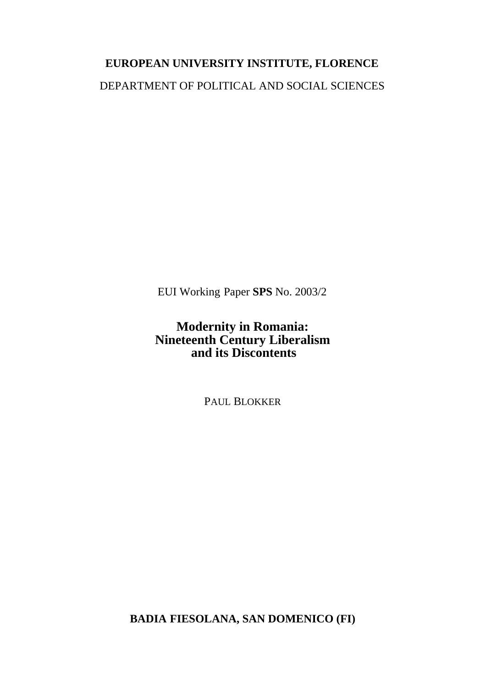# **EUROPEAN UNIVERSITY INSTITUTE, FLORENCE** DEPARTMENT OF POLITICAL AND SOCIAL SCIENCES

EUI Working Paper **SPS** No. 2003/2

### **Modernity in Romania: Nineteenth Century Liberalism and its Discontents**

PAUL BLOKKER

**BADIA FIESOLANA, SAN DOMENICO (FI)**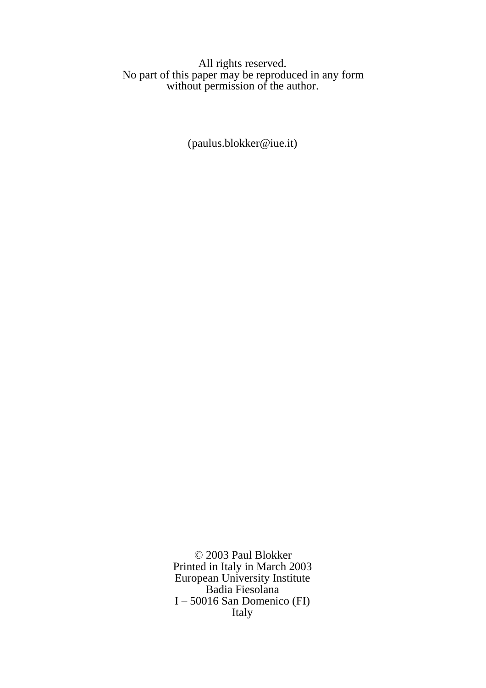#### All rights reserved. No part of this paper may be reproduced in any form without permission of the author.

(paulus.blokker@iue.it)

© 2003 Paul Blokker Printed in Italy in March 2003 European University Institute Badia Fiesolana I – 50016 San Domenico (FI) Italy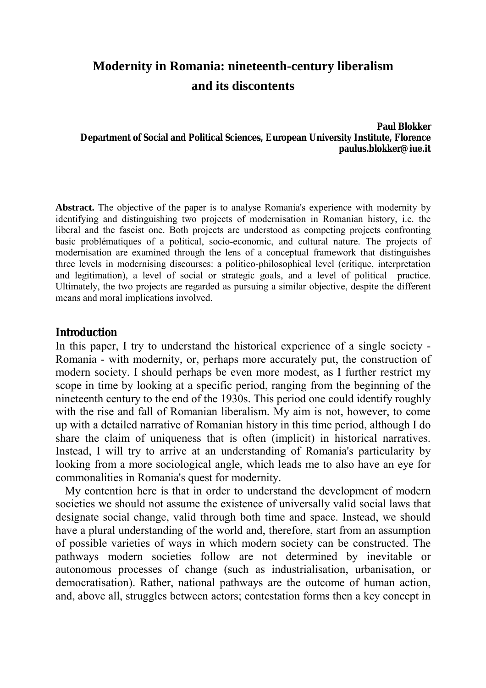## **Modernity in Romania: nineteenth-century liberalism and its discontents**

#### **Paul Blokker Department of Social and Political Sciences, European University Institute, Florence paulus.blokker@iue.it**

**Abstract.** The objective of the paper is to analyse Romania's experience with modernity by identifying and distinguishing two projects of modernisation in Romanian history, i.e. the liberal and the fascist one. Both projects are understood as competing projects confronting basic problématiques of a political, socio-economic, and cultural nature. The projects of modernisation are examined through the lens of a conceptual framework that distinguishes three levels in modernising discourses: a politico-philosophical level (critique, interpretation and legitimation), a level of social or strategic goals, and a level of political practice. Ultimately, the two projects are regarded as pursuing a similar objective, despite the different means and moral implications involved.

#### **Introduction**

In this paper, I try to understand the historical experience of a single society - Romania - with modernity, or, perhaps more accurately put, the construction of modern society. I should perhaps be even more modest, as I further restrict my scope in time by looking at a specific period, ranging from the beginning of the nineteenth century to the end of the 1930s. This period one could identify roughly with the rise and fall of Romanian liberalism. My aim is not, however, to come up with a detailed narrative of Romanian history in this time period, although I do share the claim of uniqueness that is often (implicit) in historical narratives. Instead, I will try to arrive at an understanding of Romania's particularity by looking from a more sociological angle, which leads me to also have an eye for commonalities in Romania's quest for modernity.

My contention here is that in order to understand the development of modern societies we should not assume the existence of universally valid social laws that designate social change, valid through both time and space. Instead, we should have a plural understanding of the world and, therefore, start from an assumption of possible varieties of ways in which modern society can be constructed. The pathways modern societies follow are not determined by inevitable or autonomous processes of change (such as industrialisation, urbanisation, or democratisation). Rather, national pathways are the outcome of human action, and, above all, struggles between actors; contestation forms then a key concept in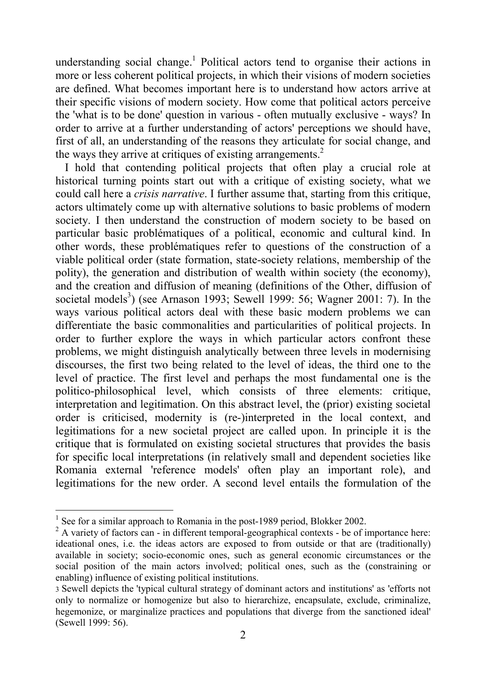understanding social change.<sup>[1](#page-3-0)</sup> Political actors tend to organise their actions in more or less coherent political projects, in which their visions of modern societies are defined. What becomes important here is to understand how actors arrive at their specific visions of modern society. How come that political actors perceive the 'what is to be done' question in various - often mutually exclusive - ways? In order to arrive at a further understanding of actors' perceptions we should have, first of all, an understanding of the reasons they articulate for social change, and the ways they arrive at critiques of existing arrangements.<sup>[2](#page-3-1)</sup>

I hold that contending political projects that often play a crucial role at historical turning points start out with a critique of existing society, what we could call here a *crisis narrative*. I further assume that, starting from this critique, actors ultimately come up with alternative solutions to basic problems of modern society. I then understand the construction of modern society to be based on particular basic problématiques of a political, economic and cultural kind. In other words, these problÈmatiques refer to questions of the construction of a viable political order (state formation, state-society relations, membership of the polity), the generation and distribution of wealth within society (the economy), and the creation and diffusion of meaning (definitions of the Other, diffusion of societal models<sup>3</sup>) (see Arnason 1993; Sewell 1999: 56; Wagner 2001: 7). In the ways various political actors deal with these basic modern problems we can differentiate the basic commonalities and particularities of political projects. In order to further explore the ways in which particular actors confront these problems, we might distinguish analytically between three levels in modernising discourses, the first two being related to the level of ideas, the third one to the level of practice. The first level and perhaps the most fundamental one is the politico-philosophical level, which consists of three elements: critique, interpretation and legitimation. On this abstract level, the (prior) existing societal order is criticised, modernity is (re-)interpreted in the local context, and legitimations for a new societal project are called upon. In principle it is the critique that is formulated on existing societal structures that provides the basis for specific local interpretations (in relatively small and dependent societies like Romania external 'reference models' often play an important role), and legitimations for the new order. A second level entails the formulation of the

<span id="page-3-0"></span><sup>&</sup>lt;sup>1</sup> See for a similar approach to Romania in the post-1989 period, Blokker 2002.

<span id="page-3-1"></span> $2 \text{ A variety of factors can - in different temporal-geographical contexts - be of importance here.}$ ideational ones, i.e. the ideas actors are exposed to from outside or that are (traditionally) available in society; socio-economic ones, such as general economic circumstances or the social position of the main actors involved; political ones, such as the (constraining or enabling) influence of existing political institutions.

<span id="page-3-2"></span><sup>3</sup> Sewell depicts the 'typical cultural strategy of dominant actors and institutions' as 'efforts not only to normalize or homogenize but also to hierarchize, encapsulate, exclude, criminalize, hegemonize, or marginalize practices and populations that diverge from the sanctioned ideal' (Sewell 1999: 56).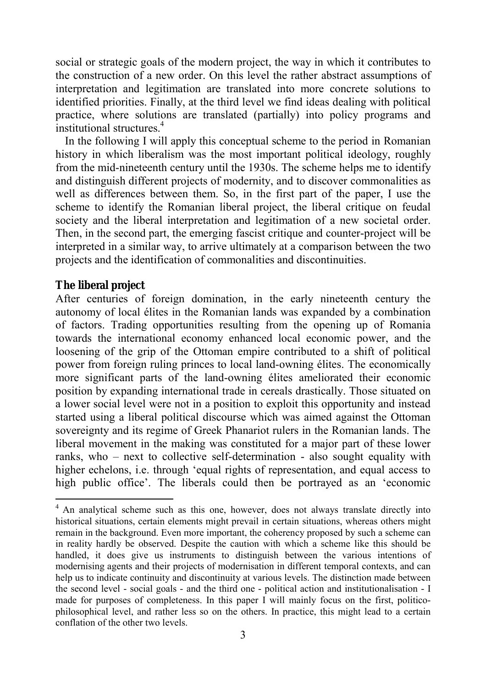social or strategic goals of the modern project, the way in which it contributes to the construction of a new order. On this level the rather abstract assumptions of interpretation and legitimation are translated into more concrete solutions to identified priorities. Finally, at the third level we find ideas dealing with political practice, where solutions are translated (partially) into policy programs and institutional structures.[4](#page-4-0)

In the following I will apply this conceptual scheme to the period in Romanian history in which liberalism was the most important political ideology, roughly from the mid-nineteenth century until the 1930s. The scheme helps me to identify and distinguish different projects of modernity, and to discover commonalities as well as differences between them. So, in the first part of the paper, I use the scheme to identify the Romanian liberal project, the liberal critique on feudal society and the liberal interpretation and legitimation of a new societal order. Then, in the second part, the emerging fascist critique and counter-project will be interpreted in a similar way, to arrive ultimately at a comparison between the two projects and the identification of commonalities and discontinuities.

#### **The liberal project**

 $\overline{a}$ 

After centuries of foreign domination, in the early nineteenth century the autonomy of local Èlites in the Romanian lands was expanded by a combination of factors. Trading opportunities resulting from the opening up of Romania towards the international economy enhanced local economic power, and the loosening of the grip of the Ottoman empire contributed to a shift of political power from foreign ruling princes to local land-owning élites. The economically more significant parts of the land-owning élites ameliorated their economic position by expanding international trade in cereals drastically. Those situated on a lower social level were not in a position to exploit this opportunity and instead started using a liberal political discourse which was aimed against the Ottoman sovereignty and its regime of Greek Phanariot rulers in the Romanian lands. The liberal movement in the making was constituted for a major part of these lower ranks, who  $-$  next to collective self-determination - also sought equality with higher echelons, i.e. through 'equal rights of representation, and equal access to high public office'. The liberals could then be portrayed as an 'economic

<span id="page-4-0"></span><sup>&</sup>lt;sup>4</sup> An analytical scheme such as this one, however, does not always translate directly into historical situations, certain elements might prevail in certain situations, whereas others might remain in the background. Even more important, the coherency proposed by such a scheme can in reality hardly be observed. Despite the caution with which a scheme like this should be handled, it does give us instruments to distinguish between the various intentions of modernising agents and their projects of modernisation in different temporal contexts, and can help us to indicate continuity and discontinuity at various levels. The distinction made between the second level - social goals - and the third one - political action and institutionalisation - I made for purposes of completeness. In this paper I will mainly focus on the first, politicophilosophical level, and rather less so on the others. In practice, this might lead to a certain conflation of the other two levels.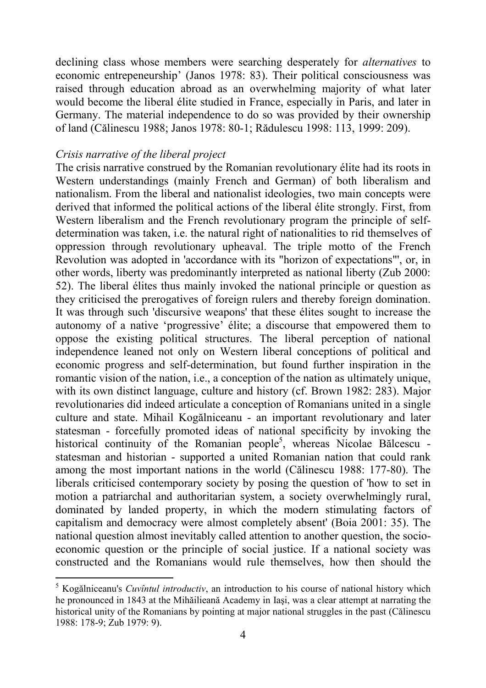declining class whose members were searching desperately for *alternatives* to economic entrepeneurship' (Janos 1978: 83). Their political consciousness was raised through education abroad as an overwhelming majority of what later would become the liberal élite studied in France, especially in Paris, and later in Germany. The material independence to do so was provided by their ownership of land (Călinescu 1988; Janos 1978: 80-1; Rădulescu 1998: 113, 1999: 209).

#### *Crisis narrative of the liberal project*

 $\overline{a}$ 

The crisis narrative construed by the Romanian revolutionary élite had its roots in Western understandings (mainly French and German) of both liberalism and nationalism. From the liberal and nationalist ideologies, two main concepts were derived that informed the political actions of the liberal Èlite strongly. First, from Western liberalism and the French revolutionary program the principle of selfdetermination was taken, i.e. the natural right of nationalities to rid themselves of oppression through revolutionary upheaval. The triple motto of the French Revolution was adopted in 'accordance with its "horizon of expectations"', or, in other words, liberty was predominantly interpreted as national liberty (Zub 2000: 52). The liberal Èlites thus mainly invoked the national principle or question as they criticised the prerogatives of foreign rulers and thereby foreign domination. It was through such 'discursive weapons' that these élites sought to increase the autonomy of a native 'progressive' élite; a discourse that empowered them to oppose the existing political structures. The liberal perception of national independence leaned not only on Western liberal conceptions of political and economic progress and self-determination, but found further inspiration in the romantic vision of the nation, i.e., a conception of the nation as ultimately unique, with its own distinct language, culture and history (cf. Brown 1982: 283). Major revolutionaries did indeed articulate a conception of Romanians united in a single culture and state. Mihail Kogălniceanu - an important revolutionary and later statesman - forcefully promoted ideas of national specificity by invoking the historical continuity of the Romanian people<sup>5</sup>, whereas Nicolae Bălcescu statesman and historian - supported a united Romanian nation that could rank among the most important nations in the world (Călinescu 1988: 177-80). The liberals criticised contemporary society by posing the question of 'how to set in motion a patriarchal and authoritarian system, a society overwhelmingly rural, dominated by landed property, in which the modern stimulating factors of capitalism and democracy were almost completely absent' (Boia 2001: 35). The national question almost inevitably called attention to another question, the socioeconomic question or the principle of social justice. If a national society was constructed and the Romanians would rule themselves, how then should the

<span id="page-5-0"></span><sup>&</sup>lt;sup>5</sup> Kogălniceanu's *Cuvîntul introductiv*, an introduction to his course of national history which he pronounced in 1843 at the Mihăilieană Academy in Iaşi, was a clear attempt at narrating the historical unity of the Romanians by pointing at major national struggles in the past (Călinescu 1988: 178-9; Zub 1979: 9).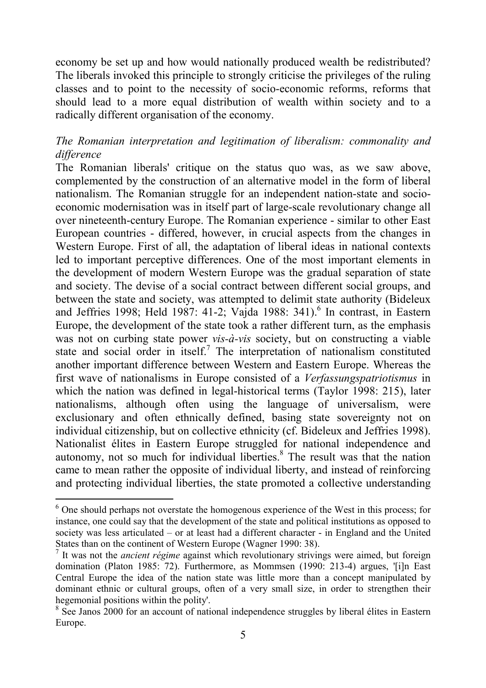economy be set up and how would nationally produced wealth be redistributed? The liberals invoked this principle to strongly criticise the privileges of the ruling classes and to point to the necessity of socio-economic reforms, reforms that should lead to a more equal distribution of wealth within society and to a radically different organisation of the economy.

#### *The Romanian interpretation and legitimation of liberalism: commonality and difference*

The Romanian liberals' critique on the status quo was, as we saw above, complemented by the construction of an alternative model in the form of liberal nationalism. The Romanian struggle for an independent nation-state and socioeconomic modernisation was in itself part of large-scale revolutionary change all over nineteenth-century Europe. The Romanian experience - similar to other East European countries - differed, however, in crucial aspects from the changes in Western Europe. First of all, the adaptation of liberal ideas in national contexts led to important perceptive differences. One of the most important elements in the development of modern Western Europe was the gradual separation of state and society. The devise of a social contract between different social groups, and between the state and society, was attempted to delimit state authority (Bideleux and Jeffries 1998; Held 1987: 41-2; Vajda 1988: 341).<sup>6</sup> In contrast, in Eastern Europe, the development of the state took a rather different turn, as the emphasis was not on curbing state power *vis-à-vis* society, but on constructing a viable state and social order in itself.<sup>[7](#page-6-1)</sup> The interpretation of nationalism constituted another important difference between Western and Eastern Europe. Whereas the first wave of nationalisms in Europe consisted of a *Verfassungspatriotismus* in which the nation was defined in legal-historical terms (Taylor 1998: 215), later nationalisms, although often using the language of universalism, were exclusionary and often ethnically defined, basing state sovereignty not on individual citizenship, but on collective ethnicity (cf. Bideleux and Jeffries 1998). Nationalist Èlites in Eastern Europe struggled for national independence and autonomy, not so much for individual liberties.<sup>8</sup> The result was that the nation came to mean rather the opposite of individual liberty, and instead of reinforcing and protecting individual liberties, the state promoted a collective understanding

<span id="page-6-0"></span><sup>&</sup>lt;sup>6</sup> One should perhaps not overstate the homogenous experience of the West in this process; for instance, one could say that the development of the state and political institutions as opposed to society was less articulated  $-$  or at least had a different character  $-$  in England and the United States than on the continent of Western Europe (Wagner 1990: 38).

<span id="page-6-1"></span><sup>&</sup>lt;sup>7</sup> It was not the *ancient régime* against which revolutionary strivings were aimed, but foreign domination (Platon 1985: 72). Furthermore, as Mommsen (1990: 213-4) argues, '[i]n East Central Europe the idea of the nation state was little more than a concept manipulated by dominant ethnic or cultural groups, often of a very small size, in order to strengthen their hegemonial positions within the polity'.

<span id="page-6-2"></span> $8 \text{ See Janos } 2000$  for an account of national independence struggles by liberal élites in Eastern Europe.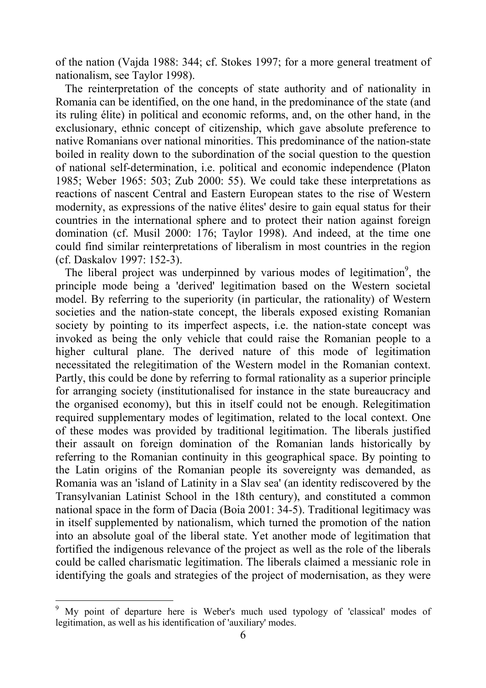of the nation (Vajda 1988: 344; cf. Stokes 1997; for a more general treatment of nationalism, see Taylor 1998).

The reinterpretation of the concepts of state authority and of nationality in Romania can be identified, on the one hand, in the predominance of the state (and its ruling Èlite) in political and economic reforms, and, on the other hand, in the exclusionary, ethnic concept of citizenship, which gave absolute preference to native Romanians over national minorities. This predominance of the nation-state boiled in reality down to the subordination of the social question to the question of national self-determination, i.e. political and economic independence (Platon 1985; Weber 1965: 503; Zub 2000: 55). We could take these interpretations as reactions of nascent Central and Eastern European states to the rise of Western modernity, as expressions of the native élites' desire to gain equal status for their countries in the international sphere and to protect their nation against foreign domination (cf. Musil 2000: 176; Taylor 1998). And indeed, at the time one could find similar reinterpretations of liberalism in most countries in the region (cf. Daskalov 1997: 152-3).

The liberal project was underpinned by various modes of legitimation<sup>[9](#page-7-0)</sup>, the principle mode being a 'derived' legitimation based on the Western societal model. By referring to the superiority (in particular, the rationality) of Western societies and the nation-state concept, the liberals exposed existing Romanian society by pointing to its imperfect aspects, i.e. the nation-state concept was invoked as being the only vehicle that could raise the Romanian people to a higher cultural plane. The derived nature of this mode of legitimation necessitated the relegitimation of the Western model in the Romanian context. Partly, this could be done by referring to formal rationality as a superior principle for arranging society (institutionalised for instance in the state bureaucracy and the organised economy), but this in itself could not be enough. Relegitimation required supplementary modes of legitimation, related to the local context. One of these modes was provided by traditional legitimation. The liberals justified their assault on foreign domination of the Romanian lands historically by referring to the Romanian continuity in this geographical space. By pointing to the Latin origins of the Romanian people its sovereignty was demanded, as Romania was an 'island of Latinity in a Slav sea' (an identity rediscovered by the Transylvanian Latinist School in the 18th century), and constituted a common national space in the form of Dacia (Boia 2001: 34-5). Traditional legitimacy was in itself supplemented by nationalism, which turned the promotion of the nation into an absolute goal of the liberal state. Yet another mode of legitimation that fortified the indigenous relevance of the project as well as the role of the liberals could be called charismatic legitimation. The liberals claimed a messianic role in identifying the goals and strategies of the project of modernisation, as they were

<span id="page-7-0"></span> $9$  My point of departure here is Weber's much used typology of 'classical' modes of legitimation, as well as his identification of 'auxiliary' modes.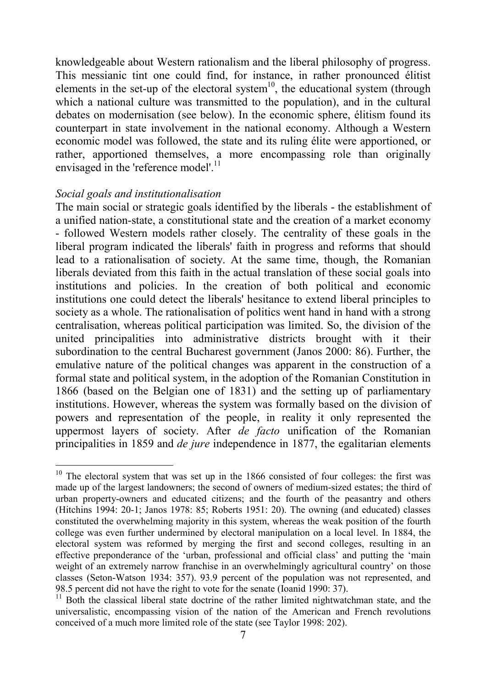knowledgeable about Western rationalism and the liberal philosophy of progress. This messianic tint one could find, for instance, in rather pronounced Èlitist elements in the set-up of the electoral system<sup>10</sup>, the educational system (through which a national culture was transmitted to the population), and in the cultural debates on modernisation (see below). In the economic sphere, élitism found its counterpart in state involvement in the national economy. Although a Western economic model was followed, the state and its ruling Èlite were apportioned, or rather, apportioned themselves, a more encompassing role than originally envisaged in the 'reference model'.<sup>[11](#page-8-1)</sup>

#### *Social goals and institutionalisation*

The main social or strategic goals identified by the liberals - the establishment of a unified nation-state, a constitutional state and the creation of a market economy - followed Western models rather closely. The centrality of these goals in the liberal program indicated the liberals' faith in progress and reforms that should lead to a rationalisation of society. At the same time, though, the Romanian liberals deviated from this faith in the actual translation of these social goals into institutions and policies. In the creation of both political and economic institutions one could detect the liberals' hesitance to extend liberal principles to society as a whole. The rationalisation of politics went hand in hand with a strong centralisation, whereas political participation was limited. So, the division of the united principalities into administrative districts brought with it their subordination to the central Bucharest government (Janos 2000: 86). Further, the emulative nature of the political changes was apparent in the construction of a formal state and political system, in the adoption of the Romanian Constitution in 1866 (based on the Belgian one of 1831) and the setting up of parliamentary institutions. However, whereas the system was formally based on the division of powers and representation of the people, in reality it only represented the uppermost layers of society. After *de facto* unification of the Romanian principalities in 1859 and *de jure* independence in 1877, the egalitarian elements

<span id="page-8-0"></span> $\overline{a}$  $10$  The electoral system that was set up in the 1866 consisted of four colleges: the first was made up of the largest landowners; the second of owners of medium-sized estates; the third of urban property-owners and educated citizens; and the fourth of the peasantry and others (Hitchins 1994: 20-1; Janos 1978: 85; Roberts 1951: 20). The owning (and educated) classes constituted the overwhelming majority in this system, whereas the weak position of the fourth college was even further undermined by electoral manipulation on a local level. In 1884, the electoral system was reformed by merging the first and second colleges, resulting in an effective preponderance of the 'urban, professional and official class' and putting the 'main weight of an extremely narrow franchise in an overwhelmingly agricultural country' on those classes (Seton-Watson 1934: 357). 93.9 percent of the population was not represented, and 98.5 percent did not have the right to vote for the senate (Ioanid 1990: 37).

<span id="page-8-1"></span><sup>&</sup>lt;sup>11</sup> Both the classical liberal state doctrine of the rather limited nightwatchman state, and the universalistic, encompassing vision of the nation of the American and French revolutions conceived of a much more limited role of the state (see Taylor 1998: 202).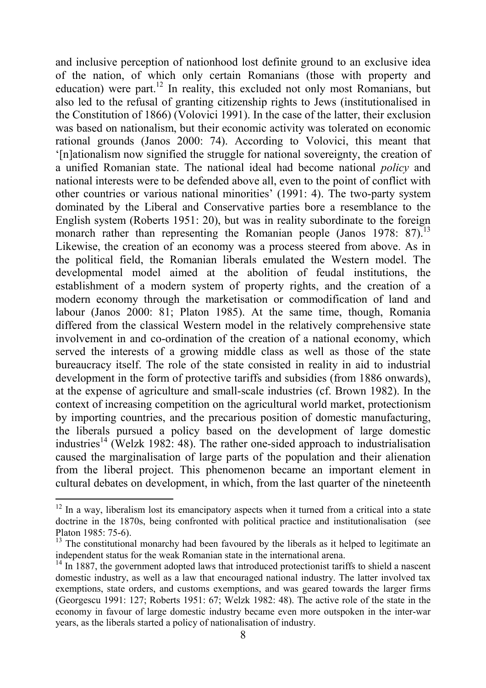and inclusive perception of nationhood lost definite ground to an exclusive idea of the nation, of which only certain Romanians (those with property and education) were part.<sup>12</sup> In reality, this excluded not only most Romanians, but also led to the refusal of granting citizenship rights to Jews (institutionalised in the Constitution of 1866) (Volovici 1991). In the case of the latter, their exclusion was based on nationalism, but their economic activity was tolerated on economic rational grounds (Janos 2000: 74). According to Volovici, this meant that ë[n]ationalism now signified the struggle for national sovereignty, the creation of a unified Romanian state. The national ideal had become national *policy* and national interests were to be defended above all, even to the point of conflict with other countries or various national minorities'  $(1991: 4)$ . The two-party system dominated by the Liberal and Conservative parties bore a resemblance to the English system (Roberts 1951: 20), but was in reality subordinate to the foreign monarch rather than representing the Romanian people (Janos 1978:  $87$ ).<sup>[13](#page-9-1)</sup> Likewise, the creation of an economy was a process steered from above. As in the political field, the Romanian liberals emulated the Western model. The developmental model aimed at the abolition of feudal institutions, the establishment of a modern system of property rights, and the creation of a modern economy through the marketisation or commodification of land and labour (Janos 2000: 81; Platon 1985). At the same time, though, Romania differed from the classical Western model in the relatively comprehensive state involvement in and co-ordination of the creation of a national economy, which served the interests of a growing middle class as well as those of the state bureaucracy itself. The role of the state consisted in reality in aid to industrial development in the form of protective tariffs and subsidies (from 1886 onwards), at the expense of agriculture and small-scale industries (cf. Brown 1982). In the context of increasing competition on the agricultural world market, protectionism by importing countries, and the precarious position of domestic manufacturing, the liberals pursued a policy based on the development of large domestic industries<sup>14</sup> (Welzk 1982: 48). The rather one-sided approach to industrialisation caused the marginalisation of large parts of the population and their alienation from the liberal project. This phenomenon became an important element in cultural debates on development, in which, from the last quarter of the nineteenth

<span id="page-9-0"></span> $12$  In a way, liberalism lost its emancipatory aspects when it turned from a critical into a state doctrine in the 1870s, being confronted with political practice and institutionalisation (see Platon 1985: 75-6).

<span id="page-9-1"></span> $13$  The constitutional monarchy had been favoured by the liberals as it helped to legitimate an independent status for the weak Romanian state in the international arena.

<span id="page-9-2"></span> $14$  In 1887, the government adopted laws that introduced protectionist tariffs to shield a nascent domestic industry, as well as a law that encouraged national industry. The latter involved tax exemptions, state orders, and customs exemptions, and was geared towards the larger firms (Georgescu 1991: 127; Roberts 1951: 67; Welzk 1982: 48). The active role of the state in the economy in favour of large domestic industry became even more outspoken in the inter-war years, as the liberals started a policy of nationalisation of industry.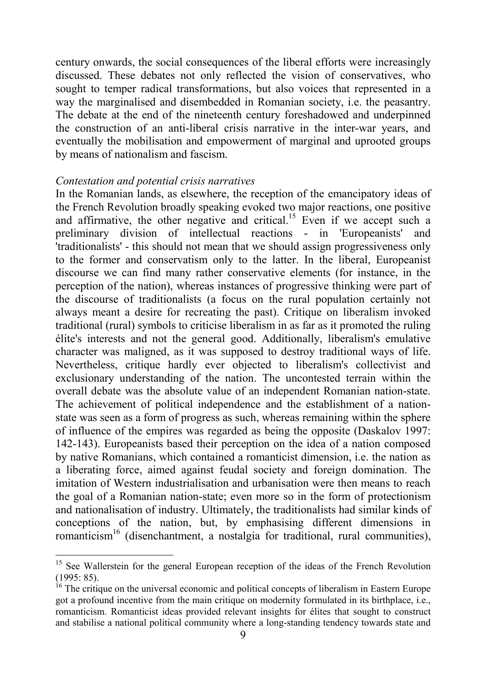<span id="page-10-1"></span>century onwards, the social consequences of the liberal efforts were increasingly discussed. These debates not only reflected the vision of conservatives, who sought to temper radical transformations, but also voices that represented in a way the marginalised and disembedded in Romanian society, i.e. the peasantry. The debate at the end of the nineteenth century foreshadowed and underpinned the construction of an anti-liberal crisis narrative in the inter-war years, and eventually the mobilisation and empowerment of marginal and uprooted groups by means of nationalism and fascism.

#### *Contestation and potential crisis narratives*

 $\overline{a}$ 

In the Romanian lands, as elsewhere, the reception of the emancipatory ideas of the French Revolution broadly speaking evoked two major reactions, one positive and affirmative, the other negative and critical.<sup>15</sup> Even if we accept such a preliminary division of intellectual reactions - in 'Europeanists' and 'traditionalists' - this should not mean that we should assign progressiveness only to the former and conservatism only to the latter. In the liberal, Europeanist discourse we can find many rather conservative elements (for instance, in the perception of the nation), whereas instances of progressive thinking were part of the discourse of traditionalists (a focus on the rural population certainly not always meant a desire for recreating the past). Critique on liberalism invoked traditional (rural) symbols to criticise liberalism in as far as it promoted the ruling Èlite's interests and not the general good. Additionally, liberalism's emulative character was maligned, as it was supposed to destroy traditional ways of life. Nevertheless, critique hardly ever objected to liberalism's collectivist and exclusionary understanding of the nation. The uncontested terrain within the overall debate was the absolute value of an independent Romanian nation-state. The achievement of political independence and the establishment of a nationstate was seen as a form of progress as such, whereas remaining within the sphere of influence of the empires was regarded as being the opposite (Daskalov 1997: 142-143). Europeanists based their perception on the idea of a nation composed by native Romanians, which contained a romanticist dimension, i.e. the nation as a liberating force, aimed against feudal society and foreign domination. The imitation of Western industrialisation and urbanisation were then means to reach the goal of a Romanian nation-state; even more so in the form of protectionism and nationalisation of industry. Ultimately, the traditionalists had similar kinds of conceptions of the nation, but, by emphasising different dimensions in romanticism<sup>16</sup> (disenchantment, a nostalgia for traditional, rural communities),

<span id="page-10-0"></span><sup>&</sup>lt;sup>15</sup> See Wallerstein for the general European reception of the ideas of the French Revolution  $(1995: 85)$ .

 $16$  The critique on the universal economic and political concepts of liberalism in Eastern Europe got a profound incentive from the main critique on modernity formulated in its birthplace, i.e., romanticism. Romanticist ideas provided relevant insights for élites that sought to construct and stabilise a national political community where a long-standing tendency towards state and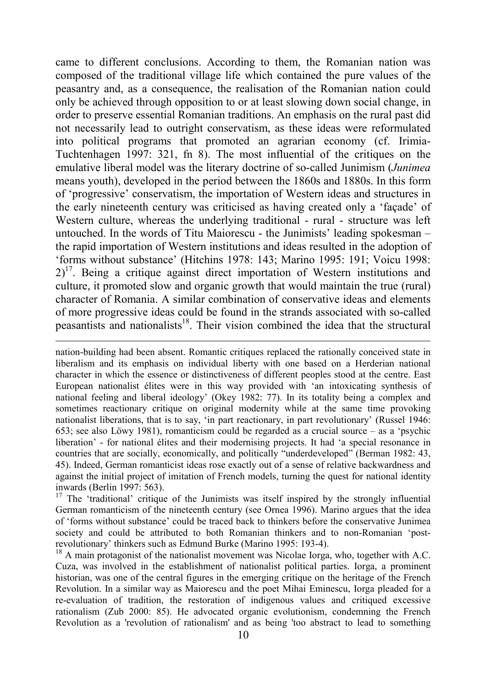<span id="page-11-1"></span>came to different conclusions. According to them, the Romanian nation was composed of the traditional village life which contained the pure values of the peasantry and, as a consequence, the realisation of the Romanian nation could only be achieved through opposition to or at least slowing down social change, in order to preserve essential Romanian traditions. An emphasis on the rural past did not necessarily lead to outright conservatism, as these ideas were reformulated into political programs that promoted an agrarian economy (cf. Irimia-Tuchtenhagen 1997: 321, fn 8). The most influential of the critiques on the emulative liberal model was the literary doctrine of so-called Junimism (*Junimea* means youth), developed in the period between the 1860s and 1880s. In this form of 'progressive' conservatism, the importation of Western ideas and structures in the early nineteenth century was criticised as having created only a 'facade' of Western culture, whereas the underlying traditional - rural - structure was left untouched. In the words of Titu Maiorescu - the Junimists' leading spokesman  $$ the rapid importation of Western institutions and ideas resulted in the adoption of ëforms without substanceí (Hitchins 1978: 143; Marino 1995: 191; Voicu 1998:  $2<sup>17</sup>$ . Being a critique against direct importation of Western institutions and culture, it promoted slow and organic growth that would maintain the true (rural) character of Romania. A similar combination of conservative ideas and elements of more progressive ideas could be found in the strands associated with so-called peasantists and nationalists<sup>18</sup>. Their vision combined the idea that the structural

nation-building had been absent. Romantic critiques replaced the rationally conceived state in liberalism and its emphasis on individual liberty with one based on a Herderian national character in which the essence or distinctiveness of different peoples stood at the centre. East European nationalist Èlites were in this way provided with ëan intoxicating synthesis of national feeling and liberal ideology' (Okey 1982: 77). In its totality being a complex and sometimes reactionary critique on original modernity while at the same time provoking nationalist liberations, that is to say, 'in part reactionary, in part revolutionary' (Russel 1946: 653; see also Löwy 1981), romanticism could be regarded as a crucial source  $-$  as a 'psychic liberation<sup>3</sup> - for national élites and their modernising projects. It had 'a special resonance in countries that are socially, economically, and politically "underdeveloped" (Berman 1982: 43, 45). Indeed, German romanticist ideas rose exactly out of a sense of relative backwardness and against the initial project of imitation of French models, turning the quest for national identity inwards (Berlin 1997: 563).

 $\overline{a}$ 

<span id="page-11-0"></span> $17$  The 'traditional' critique of the Junimists was itself inspired by the strongly influential German romanticism of the nineteenth century (see Ornea 1996). Marino argues that the idea of 'forms without substance' could be traced back to thinkers before the conservative Junimea society and could be attributed to both Romanian thinkers and to non-Romanian 'postrevolutionary' thinkers such as Edmund Burke (Marino 1995: 193-4).

<sup>18</sup> A main protagonist of the nationalist movement was Nicolae Iorga, who, together with A.C. Cuza, was involved in the establishment of nationalist political parties. Iorga, a prominent historian, was one of the central figures in the emerging critique on the heritage of the French Revolution. In a similar way as Maiorescu and the poet Mihai Eminescu, Iorga pleaded for a re-evaluation of tradition, the restoration of indigenous values and critiqued excessive rationalism (Zub 2000: 85). He advocated organic evolutionism, condemning the French Revolution as a 'revolution of rationalism' and as being 'too abstract to lead to something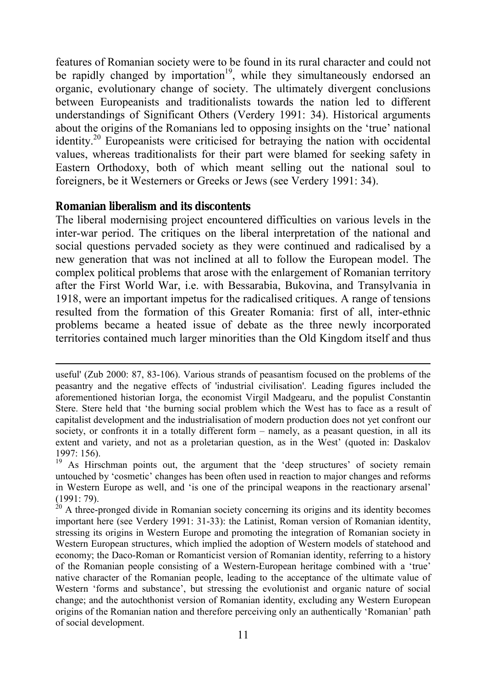features of Romanian society were to be found in its rural character and could not be rapidly changed by importation<sup>19</sup>, while they simultaneously endorsed an organic, evolutionary change of society. The ultimately divergent conclusions between Europeanists and traditionalists towards the nation led to different understandings of Significant Others (Verdery 1991: 34). Historical arguments about the origins of the Romanians led to opposing insights on the 'true' national identity.[20](#page-12-1) Europeanists were criticised for betraying the nation with occidental values, whereas traditionalists for their part were blamed for seeking safety in Eastern Orthodoxy, both of which meant selling out the national soul to foreigners, be it Westerners or Greeks or Jews (see Verdery 1991: 34).

#### **Romanian liberalism and its discontents**

l

The liberal modernising project encountered difficulties on various levels in the inter-war period. The critiques on the liberal interpretation of the national and social questions pervaded society as they were continued and radicalised by a new generation that was not inclined at all to follow the European model. The complex political problems that arose with the enlargement of Romanian territory after the First World War, i.e. with Bessarabia, Bukovina, and Transylvania in 1918, were an important impetus for the radicalised critiques. A range of tensions resulted from the formation of this Greater Romania: first of all, inter-ethnic problems became a heated issue of debate as the three newly incorporated territories contained much larger minorities than the Old Kingdom itself and thus

useful' (Zub 2000: 87, 83-106). Various strands of peasantism focused on the problems of the peasantry and the negative effects of 'industrial civilisation'. Leading figures included the aforementioned historian Iorga, the economist Virgil Madgearu, and the populist Constantin Stere. Stere held that 'the burning social problem which the West has to face as a result of capitalist development and the industrialisation of modern production does not yet confront our society, or confronts it in a totally different form  $-$  namely, as a peasant question, in all its extent and variety, and not as a proletarian question, as in the West' (quoted in: Daskalov 1997: 156).

<span id="page-12-0"></span> $19$  As Hirschman points out, the argument that the 'deep structures' of society remain untouched by 'cosmetic' changes has been often used in reaction to major changes and reforms in Western Europe as well, and 'is one of the principal weapons in the reactionary arsenal' (1991: 79).

<span id="page-12-1"></span> $20$  A three-pronged divide in Romanian society concerning its origins and its identity becomes important here (see Verdery 1991: 31-33): the Latinist, Roman version of Romanian identity, stressing its origins in Western Europe and promoting the integration of Romanian society in Western European structures, which implied the adoption of Western models of statehood and economy; the Daco-Roman or Romanticist version of Romanian identity, referring to a history of the Romanian people consisting of a Western-European heritage combined with a 'true' native character of the Romanian people, leading to the acceptance of the ultimate value of Western 'forms and substance', but stressing the evolutionist and organic nature of social change; and the autochthonist version of Romanian identity, excluding any Western European origins of the Romanian nation and therefore perceiving only an authentically 'Romanian' path of social development.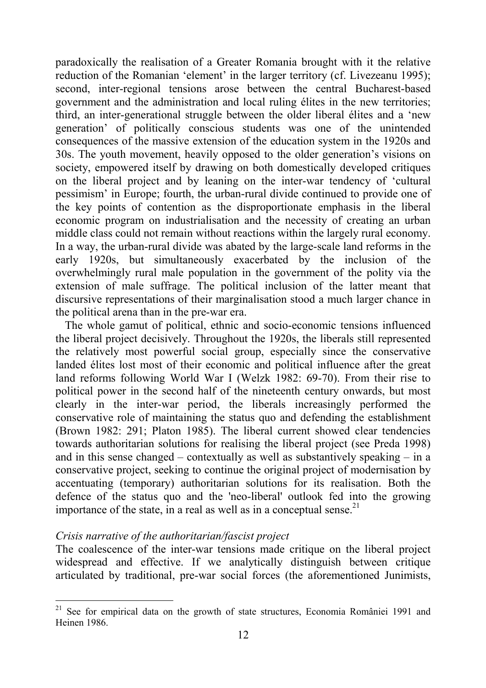paradoxically the realisation of a Greater Romania brought with it the relative reduction of the Romanian 'element' in the larger territory (cf. Livezeanu 1995); second, inter-regional tensions arose between the central Bucharest-based government and the administration and local ruling Èlites in the new territories; third, an inter-generational struggle between the older liberal élites and a 'new generation' of politically conscious students was one of the unintended consequences of the massive extension of the education system in the 1920s and 30s. The youth movement, heavily opposed to the older generation's visions on society, empowered itself by drawing on both domestically developed critiques on the liberal project and by leaning on the inter-war tendency of ëcultural pessimismí in Europe; fourth, the urban-rural divide continued to provide one of the key points of contention as the disproportionate emphasis in the liberal economic program on industrialisation and the necessity of creating an urban middle class could not remain without reactions within the largely rural economy. In a way, the urban-rural divide was abated by the large-scale land reforms in the early 1920s, but simultaneously exacerbated by the inclusion of the overwhelmingly rural male population in the government of the polity via the extension of male suffrage. The political inclusion of the latter meant that discursive representations of their marginalisation stood a much larger chance in the political arena than in the pre-war era.

The whole gamut of political, ethnic and socio-economic tensions influenced the liberal project decisively. Throughout the 1920s, the liberals still represented the relatively most powerful social group, especially since the conservative landed élites lost most of their economic and political influence after the great land reforms following World War I (Welzk 1982: 69-70). From their rise to political power in the second half of the nineteenth century onwards, but most clearly in the inter-war period, the liberals increasingly performed the conservative role of maintaining the status quo and defending the establishment (Brown 1982: 291; Platon 1985). The liberal current showed clear tendencies towards authoritarian solutions for realising the liberal project (see Preda 1998) and in this sense changed  $\sim$  contextually as well as substantively speaking  $\sim$  in a conservative project, seeking to continue the original project of modernisation by accentuating (temporary) authoritarian solutions for its realisation. Both the defence of the status quo and the 'neo-liberal' outlook fed into the growing importance of the state, in a real as well as in a conceptual sense. $21$ 

#### *Crisis narrative of the authoritarian/fascist project*

l

The coalescence of the inter-war tensions made critique on the liberal project widespread and effective. If we analytically distinguish between critique articulated by traditional, pre-war social forces (the aforementioned Junimists,

<span id="page-13-0"></span> $21$  See for empirical data on the growth of state structures, Economia României 1991 and Heinen 1986.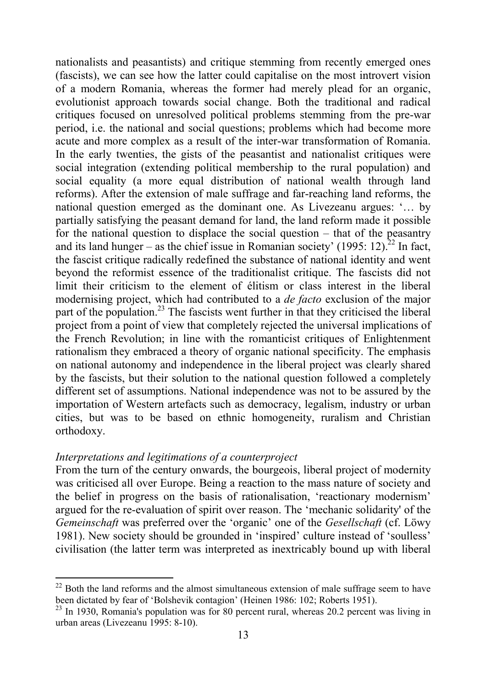nationalists and peasantists) and critique stemming from recently emerged ones (fascists), we can see how the latter could capitalise on the most introvert vision of a modern Romania, whereas the former had merely plead for an organic, evolutionist approach towards social change. Both the traditional and radical critiques focused on unresolved political problems stemming from the pre-war period, i.e. the national and social questions; problems which had become more acute and more complex as a result of the inter-war transformation of Romania. In the early twenties, the gists of the peasantist and nationalist critiques were social integration (extending political membership to the rural population) and social equality (a more equal distribution of national wealth through land reforms). After the extension of male suffrage and far-reaching land reforms, the national question emerged as the dominant one. As Livezeanu argues: '... by partially satisfying the peasant demand for land, the land reform made it possible for the national question to displace the social question  $-$  that of the peasantry and its land hunger – as the chief issue in Romanian society' (1995: 12).<sup>22</sup> In fact, the fascist critique radically redefined the substance of national identity and went beyond the reformist essence of the traditionalist critique. The fascists did not limit their criticism to the element of élitism or class interest in the liberal modernising project, which had contributed to a *de facto* exclusion of the major part of the population.<sup>23</sup> The fascists went further in that they criticised the liberal project from a point of view that completely rejected the universal implications of the French Revolution; in line with the romanticist critiques of Enlightenment rationalism they embraced a theory of organic national specificity. The emphasis on national autonomy and independence in the liberal project was clearly shared by the fascists, but their solution to the national question followed a completely different set of assumptions. National independence was not to be assured by the importation of Western artefacts such as democracy, legalism, industry or urban cities, but was to be based on ethnic homogeneity, ruralism and Christian orthodoxy.

#### *Interpretations and legitimations of a counterproject*

 $\overline{a}$ 

From the turn of the century onwards, the bourgeois, liberal project of modernity was criticised all over Europe. Being a reaction to the mass nature of society and the belief in progress on the basis of rationalisation, 'reactionary modernism' argued for the re-evaluation of spirit over reason. The ëmechanic solidarity' of the *Gemeinschaft* was preferred over the 'organic' one of the *Gesellschaft* (cf. Löwy 1981). New society should be grounded in 'inspired' culture instead of 'soulless' civilisation (the latter term was interpreted as inextricably bound up with liberal

<span id="page-14-0"></span> $22$  Both the land reforms and the almost simultaneous extension of male suffrage seem to have been dictated by fear of 'Bolshevik contagion' (Heinen 1986: 102; Roberts 1951).

<span id="page-14-1"></span> $^{23}$  In 1930, Romania's population was for 80 percent rural, whereas 20.2 percent was living in urban areas (Livezeanu 1995: 8-10).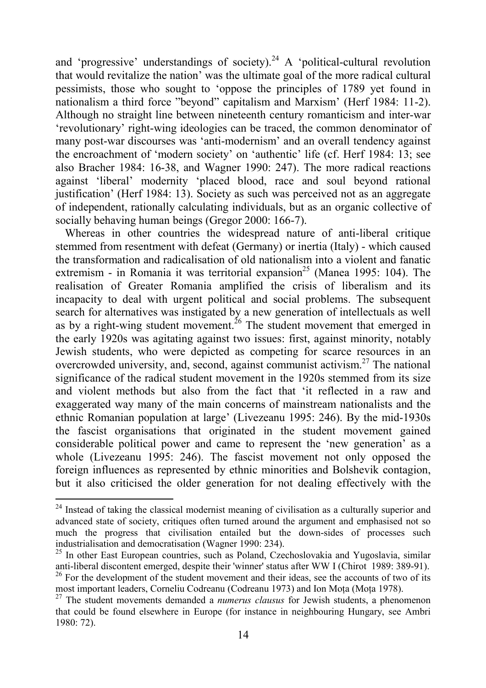and 'progressive' understandings of society).<sup>24</sup> A 'political-cultural revolution that would revitalize the nation' was the ultimate goal of the more radical cultural pessimists, those who sought to ëoppose the principles of 1789 yet found in nationalism a third force "beyond" capitalism and Marxism' (Herf 1984: 11-2). Although no straight line between nineteenth century romanticism and inter-war ërevolutionaryí right-wing ideologies can be traced, the common denominator of many post-war discourses was 'anti-modernism' and an overall tendency against the encroachment of 'modern society' on 'authentic' life (cf. Herf 1984: 13; see also Bracher 1984: 16-38, and Wagner 1990: 247). The more radical reactions against 'liberal' modernity 'placed blood, race and soul beyond rational justification' (Herf 1984: 13). Society as such was perceived not as an aggregate of independent, rationally calculating individuals, but as an organic collective of socially behaving human beings (Gregor 2000: 166-7).

Whereas in other countries the widespread nature of anti-liberal critique stemmed from resentment with defeat (Germany) or inertia (Italy) - which caused the transformation and radicalisation of old nationalism into a violent and fanatic extremism - in Romania it was territorial expansion<sup>25</sup> (Manea 1995: 104). The realisation of Greater Romania amplified the crisis of liberalism and its incapacity to deal with urgent political and social problems. The subsequent search for alternatives was instigated by a new generation of intellectuals as well as by a right-wing student movement.<sup>26</sup> The student movement that emerged in the early 1920s was agitating against two issues: first, against minority, notably Jewish students, who were depicted as competing for scarce resources in an overcrowded university, and, second, against communist activism. $27$  The national significance of the radical student movement in the 1920s stemmed from its size and violent methods but also from the fact that ëit reflected in a raw and exaggerated way many of the main concerns of mainstream nationalists and the ethnic Romanian population at large' (Livezeanu 1995: 246). By the mid-1930s the fascist organisations that originated in the student movement gained considerable political power and came to represent the 'new generation' as a whole (Livezeanu 1995: 246). The fascist movement not only opposed the foreign influences as represented by ethnic minorities and Bolshevik contagion, but it also criticised the older generation for not dealing effectively with the

<span id="page-15-0"></span> $24$  Instead of taking the classical modernist meaning of civilisation as a culturally superior and advanced state of society, critiques often turned around the argument and emphasised not so much the progress that civilisation entailed but the down-sides of processes such industrialisation and democratisation (Wagner 1990: 234).

<span id="page-15-1"></span> $^{25}$  In other East European countries, such as Poland, Czechoslovakia and Yugoslavia, similar anti-liberal discontent emerged, despite their 'winner' status after WW I (Chirot 1989: 389-91).

<span id="page-15-2"></span> $26$  For the development of the student movement and their ideas, see the accounts of two of its most important leaders, Corneliu Codreanu (Codreanu 1973) and Ion Mota (Mota 1978).

<span id="page-15-3"></span><sup>27</sup> The student movements demanded a *numerus clausus* for Jewish students, a phenomenon that could be found elsewhere in Europe (for instance in neighbouring Hungary, see Ambri 1980: 72).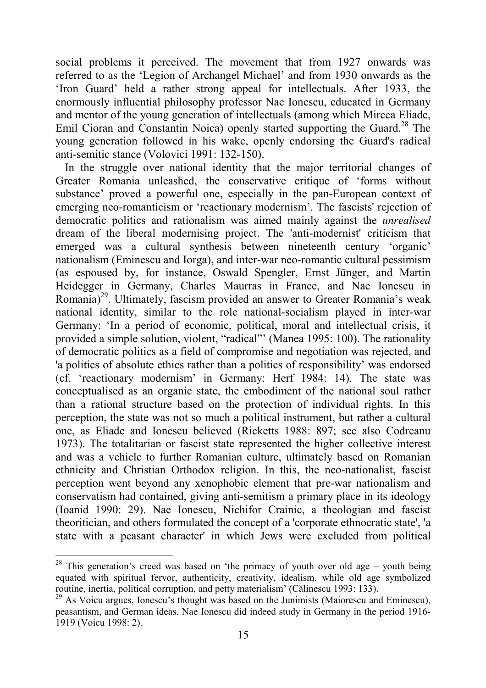social problems it perceived. The movement that from 1927 onwards was referred to as the 'Legion of Archangel Michael' and from 1930 onwards as the 'Iron Guard' held a rather strong appeal for intellectuals. After 1933, the enormously influential philosophy professor Nae Ionescu, educated in Germany and mentor of the young generation of intellectuals (among which Mircea Eliade, Emil Cioran and Constantin Noica) openly started supporting the Guard.<sup>28</sup> The young generation followed in his wake, openly endorsing the Guard's radical anti-semitic stance (Volovici 1991: 132-150).

In the struggle over national identity that the major territorial changes of Greater Romania unleashed, the conservative critique of ëforms without substance' proved a powerful one, especially in the pan-European context of emerging neo-romanticism or 'reactionary modernism'. The fascists' rejection of democratic politics and rationalism was aimed mainly against the *unrealised* dream of the liberal modernising project. The 'anti-modernist' criticism that emerged was a cultural synthesis between nineteenth century 'organic' nationalism (Eminescu and Iorga), and inter-war neo-romantic cultural pessimism (as espoused by, for instance, Oswald Spengler, Ernst Jünger, and Martin Heidegger in Germany, Charles Maurras in France, and Nae Ionescu in Romania)<sup>29</sup>. Ultimately, fascism provided an answer to Greater Romania's weak national identity, similar to the role national-socialism played in inter-war Germany: 'In a period of economic, political, moral and intellectual crisis, it provided a simple solution, violent, "radical" (Manea 1995: 100). The rationality of democratic politics as a field of compromise and negotiation was rejected, and 'a politics of absolute ethics rather than a politics of responsibility' was endorsed (cf. ëreactionary modernismí in Germany: Herf 1984: 14). The state was conceptualised as an organic state, the embodiment of the national soul rather than a rational structure based on the protection of individual rights. In this perception, the state was not so much a political instrument, but rather a cultural one, as Eliade and Ionescu believed (Ricketts 1988: 897; see also Codreanu 1973). The totalitarian or fascist state represented the higher collective interest and was a vehicle to further Romanian culture, ultimately based on Romanian ethnicity and Christian Orthodox religion. In this, the neo-nationalist, fascist perception went beyond any xenophobic element that pre-war nationalism and conservatism had contained, giving anti-semitism a primary place in its ideology (Ioanid 1990: 29). Nae Ionescu, Nichifor Crainic, a theologian and fascist theoritician, and others formulated the concept of a 'corporate ethnocratic state', 'a state with a peasant character' in which Jews were excluded from political

<span id="page-16-0"></span><sup>&</sup>lt;sup>28</sup> This generation's creed was based on 'the primacy of youth over old age  $-$  youth being equated with spiritual fervor, authenticity, creativity, idealism, while old age symbolized routine, inertia, political corruption, and petty materialism<sup>'</sup> (Călinescu 1993: 133).

<span id="page-16-1"></span> $^{29}$  As Voicu argues, Ionescu's thought was based on the Junimists (Maiorescu and Eminescu), peasantism, and German ideas. Nae Ionescu did indeed study in Germany in the period 1916- 1919 (Voicu 1998: 2).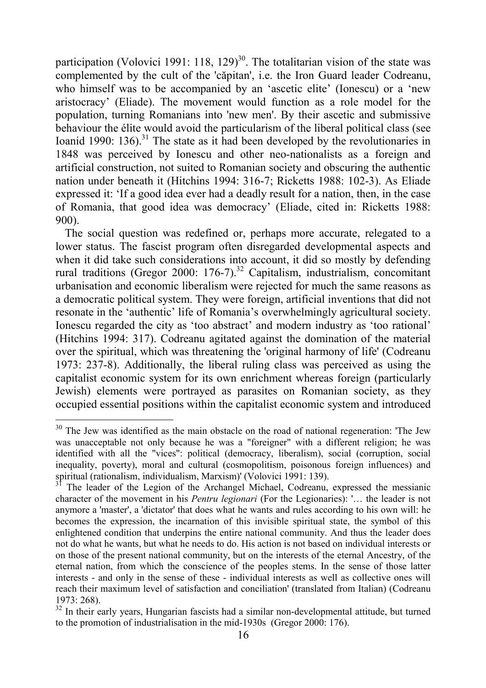participation (Volovici 1991: 118, 129)<sup>30</sup>. The totalitarian vision of the state was complemented by the cult of the 'căpitan', i.e. the Iron Guard leader Codreanu, who himself was to be accompanied by an 'ascetic elite' (Ionescu) or a 'new aristocracyí (Eliade). The movement would function as a role model for the population, turning Romanians into 'new men'. By their ascetic and submissive behaviour the élite would avoid the particularism of the liberal political class (see Ioanid 1990: 136).<sup>31</sup> The state as it had been developed by the revolutionaries in 1848 was perceived by Ionescu and other neo-nationalists as a foreign and artificial construction, not suited to Romanian society and obscuring the authentic nation under beneath it (Hitchins 1994: 316-7; Ricketts 1988: 102-3). As Eliade expressed it: ëIf a good idea ever had a deadly result for a nation, then, in the case of Romania, that good idea was democracy' (Eliade, cited in: Ricketts 1988: 900).

The social question was redefined or, perhaps more accurate, relegated to a lower status. The fascist program often disregarded developmental aspects and when it did take such considerations into account, it did so mostly by defending rural traditions (Gregor 2000: 176-7).<sup>32</sup> Capitalism, industrialism, concomitant urbanisation and economic liberalism were rejected for much the same reasons as a democratic political system. They were foreign, artificial inventions that did not resonate in the 'authentic' life of Romania's overwhelmingly agricultural society. Ionescu regarded the city as 'too abstract' and modern industry as 'too rational' (Hitchins 1994: 317). Codreanu agitated against the domination of the material over the spiritual, which was threatening the 'original harmony of life' (Codreanu 1973: 237-8). Additionally, the liberal ruling class was perceived as using the capitalist economic system for its own enrichment whereas foreign (particularly Jewish) elements were portrayed as parasites on Romanian society, as they occupied essential positions within the capitalist economic system and introduced

<span id="page-17-0"></span> $30$  The Jew was identified as the main obstacle on the road of national regeneration: 'The Jew was unacceptable not only because he was a "foreigner" with a different religion; he was identified with all the "vices": political (democracy, liberalism), social (corruption, social inequality, poverty), moral and cultural (cosmopolitism, poisonous foreign influences) and spiritual (rationalism, individualism, Marxism)' (Volovici 1991: 139).

<span id="page-17-1"></span><sup>&</sup>lt;sup>31</sup> The leader of the Legion of the Archangel Michael, Codreanu, expressed the messianic character of the movement in his *Pentru legionari* (For the Legionaries): '... the leader is not anymore a 'master', a 'dictator' that does what he wants and rules according to his own will: he becomes the expression, the incarnation of this invisible spiritual state, the symbol of this enlightened condition that underpins the entire national community. And thus the leader does not do what he wants, but what he needs to do. His action is not based on individual interests or on those of the present national community, but on the interests of the eternal Ancestry, of the eternal nation, from which the conscience of the peoples stems. In the sense of those latter interests - and only in the sense of these - individual interests as well as collective ones will reach their maximum level of satisfaction and conciliation' (translated from Italian) (Codreanu 1973: 268).

<span id="page-17-2"></span> $32 \text{ In their early years, Hungarian facts had a similar non-developmental attitude, but turned.}$ to the promotion of industrialisation in the mid-1930s (Gregor 2000: 176).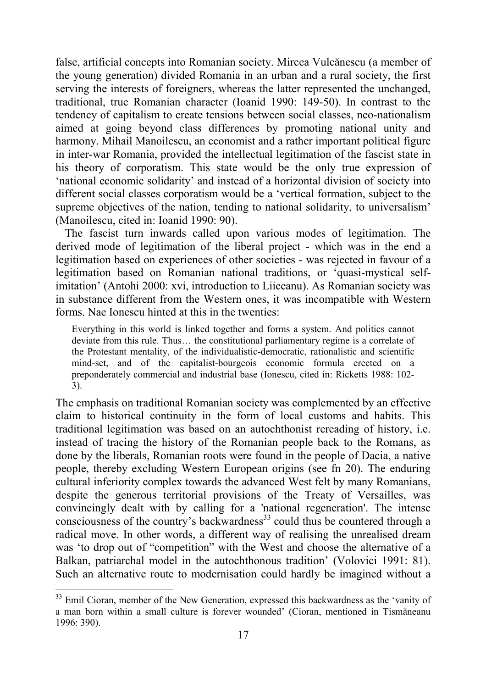false, artificial concepts into Romanian society. Mircea Vulcănescu (a member of the young generation) divided Romania in an urban and a rural society, the first serving the interests of foreigners, whereas the latter represented the unchanged, traditional, true Romanian character (Ioanid 1990: 149-50). In contrast to the tendency of capitalism to create tensions between social classes, neo-nationalism aimed at going beyond class differences by promoting national unity and harmony. Mihail Manoilescu, an economist and a rather important political figure in inter-war Romania, provided the intellectual legitimation of the fascist state in his theory of corporatism. This state would be the only true expression of ënational economic solidarityí and instead of a horizontal division of society into different social classes corporatism would be a 'vertical formation, subject to the supreme objectives of the nation, tending to national solidarity, to universalism<sup>3</sup> (Manoilescu, cited in: Ioanid 1990: 90).

The fascist turn inwards called upon various modes of legitimation. The derived mode of legitimation of the liberal project - which was in the end a legitimation based on experiences of other societies - was rejected in favour of a legitimation based on Romanian national traditions, or ëquasi-mystical selfimitation<sup>'</sup> (Antohi 2000: xvi, introduction to Liiceanu). As Romanian society was in substance different from the Western ones, it was incompatible with Western forms. Nae Ionescu hinted at this in the twenties:

Everything in this world is linked together and forms a system. And politics cannot deviate from this rule. Thus... the constitutional parliamentary regime is a correlate of the Protestant mentality, of the individualistic-democratic, rationalistic and scientific mind-set, and of the capitalist-bourgeois economic formula erected on a preponderately commercial and industrial base (Ionescu, cited in: Ricketts 1988: 102- 3).

The emphasis on traditional Romanian society was complemented by an effective claim to historical continuity in the form of local customs and habits. This traditional legitimation was based on an autochthonist rereading of history, i.e. instead of tracing the history of the Romanian people back to the Romans, as done by the liberals, Romanian roots were found in the people of Dacia, a native people, thereby excluding Western European origins (see fn 20). The enduring cultural inferiority complex towards the advanced West felt by many Romanians, despite the generous territorial provisions of the Treaty of Versailles, was convincingly dealt with by calling for a 'national regeneration'. The intense consciousness of the country's backwardness<sup>33</sup> could thus be countered through a radical move. In other words, a different way of realising the unrealised dream was 'to drop out of "competition" with the West and choose the alternative of a Balkan, patriarchal model in the autochthonous tradition' (Volovici 1991: 81). Such an alternative route to modernisation could hardly be imagined without a

<span id="page-18-0"></span> $33$  Emil Cioran, member of the New Generation, expressed this backwardness as the 'vanity of a man born within a small culture is forever wounded' (Cioran, mentioned in Tismăneanu 1996: 390).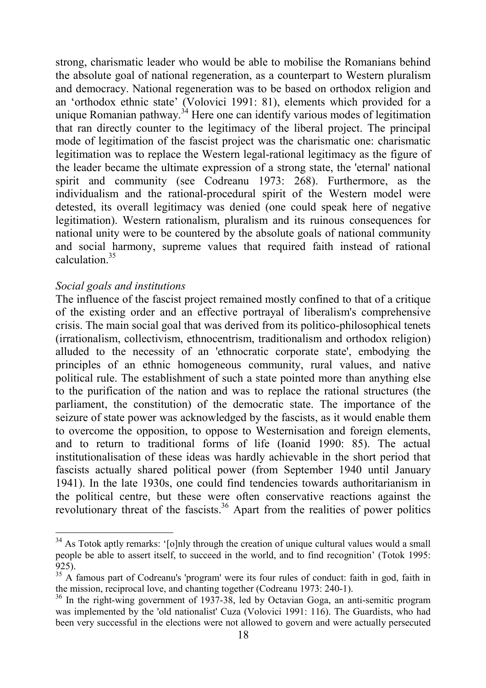<span id="page-19-2"></span>strong, charismatic leader who would be able to mobilise the Romanians behind the absolute goal of national regeneration, as a counterpart to Western pluralism and democracy. National regeneration was to be based on orthodox religion and an 'orthodox ethnic state' (Volovici 1991: 81), elements which provided for a unique Romanian pathway.<sup>34</sup> Here one can identify various modes of legitimation that ran directly counter to the legitimacy of the liberal project. The principal mode of legitimation of the fascist project was the charismatic one: charismatic legitimation was to replace the Western legal-rational legitimacy as the figure of the leader became the ultimate expression of a strong state, the 'eternal' national spirit and community (see Codreanu 1973: 268). Furthermore, as the individualism and the rational-procedural spirit of the Western model were detested, its overall legitimacy was denied (one could speak here of negative legitimation). Western rationalism, pluralism and its ruinous consequences for national unity were to be countered by the absolute goals of national community and social harmony, supreme values that required faith instead of rational calculation<sup>35</sup>

#### *Social goals and institutions*

l

The influence of the fascist project remained mostly confined to that of a critique of the existing order and an effective portrayal of liberalism's comprehensive crisis. The main social goal that was derived from its politico-philosophical tenets (irrationalism, collectivism, ethnocentrism, traditionalism and orthodox religion) alluded to the necessity of an 'ethnocratic corporate state', embodying the principles of an ethnic homogeneous community, rural values, and native political rule. The establishment of such a state pointed more than anything else to the purification of the nation and was to replace the rational structures (the parliament, the constitution) of the democratic state. The importance of the seizure of state power was acknowledged by the fascists, as it would enable them to overcome the opposition, to oppose to Westernisation and foreign elements, and to return to traditional forms of life (Ioanid 1990: 85). The actual institutionalisation of these ideas was hardly achievable in the short period that fascists actually shared political power (from September 1940 until January 1941). In the late 1930s, one could find tendencies towards authoritarianism in the political centre, but these were often conservative reactions against the revolutionary threat of the fascists.<sup>36</sup> Apart from the realities of power politics

<span id="page-19-0"></span> $34$  As Totok aptly remarks: '[o]nly through the creation of unique cultural values would a small people be able to assert itself, to succeed in the world, and to find recognition' (Totok 1995: 925).

<span id="page-19-1"></span><sup>&</sup>lt;sup>35</sup> A famous part of Codreanu's 'program' were its four rules of conduct: faith in god, faith in the mission, reciprocal love, and chanting together (Codreanu 1973: 240-1).

<sup>&</sup>lt;sup>36</sup> In the right-wing government of 1937-38, led by Octavian Goga, an anti-semitic program was implemented by the 'old nationalist' Cuza (Volovici 1991: 116). The Guardists, who had been very successful in the elections were not allowed to govern and were actually persecuted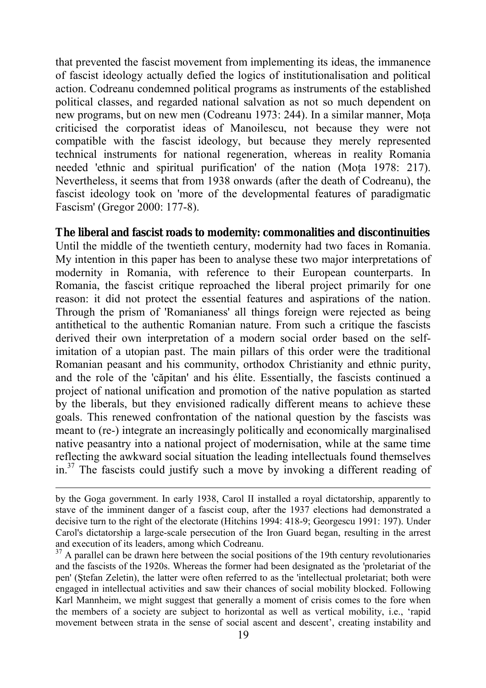that prevented the fascist movement from implementing its ideas, the immanence of fascist ideology actually defied the logics of institutionalisation and political action. Codreanu condemned political programs as instruments of the established political classes, and regarded national salvation as not so much dependent on new programs, but on new men (Codreanu 1973: 244). In a similar manner, Moţa criticised the corporatist ideas of Manoilescu, not because they were not compatible with the fascist ideology, but because they merely represented technical instruments for national regeneration, whereas in reality Romania needed 'ethnic and spiritual purification' of the nation (Mota 1978: 217). Nevertheless, it seems that from 1938 onwards (after the death of Codreanu), the fascist ideology took on 'more of the developmental features of paradigmatic Fascism' (Gregor 2000: 177-8).

#### **The liberal and fascist roads to modernity: commonalities and discontinuities**

Until the middle of the twentieth century, modernity had two faces in Romania. My intention in this paper has been to analyse these two major interpretations of modernity in Romania, with reference to their European counterparts. In Romania, the fascist critique reproached the liberal project primarily for one reason: it did not protect the essential features and aspirations of the nation. Through the prism of 'Romanianess' all things foreign were rejected as being antithetical to the authentic Romanian nature. From such a critique the fascists derived their own interpretation of a modern social order based on the selfimitation of a utopian past. The main pillars of this order were the traditional Romanian peasant and his community, orthodox Christianity and ethnic purity, and the role of the 'căpitan' and his Èlite. Essentially, the fascists continued a project of national unification and promotion of the native population as started by the liberals, but they envisioned radically different means to achieve these goals. This renewed confrontation of the national question by the fascists was meant to (re-) integrate an increasingly politically and economically marginalised native peasantry into a national project of modernisation, while at the same time reflecting the awkward social situation the leading intellectuals found themselves in.[37](#page-20-0) The fascists could justify such a move by invoking a different reading of

by the Goga government. In early 1938, Carol II installed a royal dictatorship, apparently to stave of the imminent danger of a fascist coup, after the 1937 elections had demonstrated a decisive turn to the right of the electorate (Hitchins 1994: 418-9; Georgescu 1991: 197). Under Carol's dictatorship a large-scale persecution of the Iron Guard began, resulting in the arrest and execution of its leaders, among which Codreanu.

<span id="page-20-0"></span> $37$  A parallel can be drawn here between the social positions of the 19th century revolutionaries and the fascists of the 1920s. Whereas the former had been designated as the 'proletariat of the pen' (Ştefan Zeletin), the latter were often referred to as the 'intellectual proletariat; both were engaged in intellectual activities and saw their chances of social mobility blocked. Following Karl Mannheim, we might suggest that generally a moment of crisis comes to the fore when the members of a society are subject to horizontal as well as vertical mobility, i.e., ërapid movement between strata in the sense of social ascent and descent', creating instability and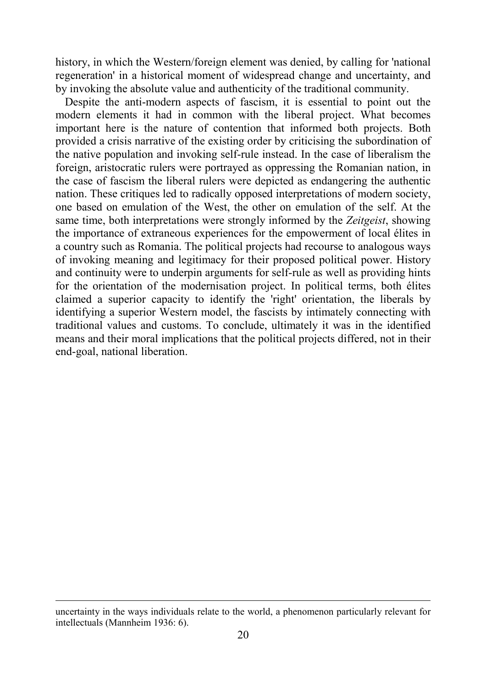history, in which the Western/foreign element was denied, by calling for 'national regeneration' in a historical moment of widespread change and uncertainty, and by invoking the absolute value and authenticity of the traditional community.

Despite the anti-modern aspects of fascism, it is essential to point out the modern elements it had in common with the liberal project. What becomes important here is the nature of contention that informed both projects. Both provided a crisis narrative of the existing order by criticising the subordination of the native population and invoking self-rule instead. In the case of liberalism the foreign, aristocratic rulers were portrayed as oppressing the Romanian nation, in the case of fascism the liberal rulers were depicted as endangering the authentic nation. These critiques led to radically opposed interpretations of modern society, one based on emulation of the West, the other on emulation of the self. At the same time, both interpretations were strongly informed by the *Zeitgeist*, showing the importance of extraneous experiences for the empowerment of local Èlites in a country such as Romania. The political projects had recourse to analogous ways of invoking meaning and legitimacy for their proposed political power. History and continuity were to underpin arguments for self-rule as well as providing hints for the orientation of the modernisation project. In political terms, both élites claimed a superior capacity to identify the 'right' orientation, the liberals by identifying a superior Western model, the fascists by intimately connecting with traditional values and customs. To conclude, ultimately it was in the identified means and their moral implications that the political projects differed, not in their end-goal, national liberation.

uncertainty in the ways individuals relate to the world, a phenomenon particularly relevant for intellectuals (Mannheim 1936: 6).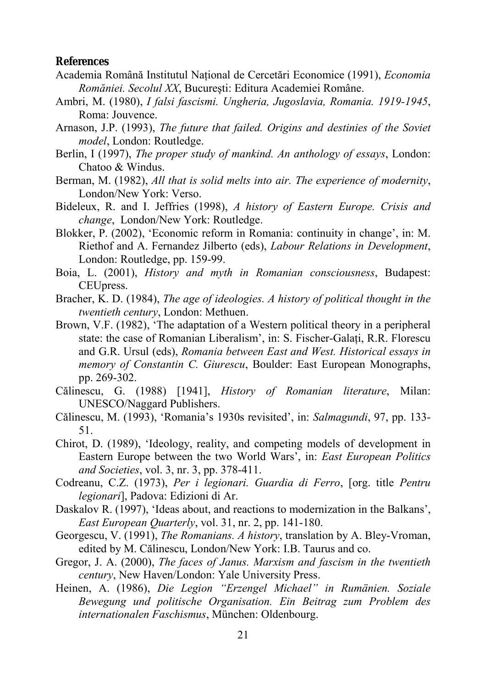#### **References**

- Academia Rom'nă Institutul Naţional de Cercetări Economice (1991), *Economia Romăniei. Secolul XX*, București: Editura Academiei Române.
- Ambri, M. (1980), *I falsi fascismi. Ungheria, Jugoslavia, Romania. 1919-1945*, Roma: Jouvence.
- Arnason, J.P. (1993), *The future that failed. Origins and destinies of the Soviet model*, London: Routledge.
- Berlin, I (1997), *The proper study of mankind. An anthology of essays*, London: Chatoo & Windus.
- Berman, M. (1982), *All that is solid melts into air. The experience of modernity*, London/New York: Verso.
- Bideleux, R. and I. Jeffries (1998), *A history of Eastern Europe. Crisis and change*, London/New York: Routledge.
- Blokker, P. (2002), 'Economic reform in Romania: continuity in change', in: M. Riethof and A. Fernandez Jilberto (eds), *Labour Relations in Development*, London: Routledge, pp. 159-99.
- Boia, L. (2001), *History and myth in Romanian consciousness*, Budapest: CEUpress.
- Bracher, K. D. (1984), *The age of ideologies. A history of political thought in the twentieth century*, London: Methuen.
- Brown, V.F. (1982), 'The adaptation of a Western political theory in a peripheral state: the case of Romanian Liberalism', in: S. Fischer-Galati, R.R. Florescu and G.R. Ursul (eds), *Romania between East and West. Historical essays in memory of Constantin C. Giurescu*, Boulder: East European Monographs, pp. 269-302.
- Călinescu, G. (1988) [1941], *History of Romanian literature*, Milan: UNESCO/Naggard Publishers.
- Călinescu, M. (1993), 'Romania's 1930s revisited', in: *Salmagundi*, 97, pp. 133-51.
- Chirot, D. (1989), ëIdeology, reality, and competing models of development in Eastern Europe between the two World Wars', in: *East European Politics and Societies*, vol. 3, nr. 3, pp. 378-411.
- Codreanu, C.Z. (1973), *Per i legionari. Guardia di Ferro*, [org. title *Pentru legionari*], Padova: Edizioni di Ar.
- Daskalov R. (1997), 'Ideas about, and reactions to modernization in the Balkans', *East European Quarterly*, vol. 31, nr. 2, pp. 141-180.
- Georgescu, V. (1991), *The Romanians. A history*, translation by A. Bley-Vroman, edited by M. Călinescu, London/New York: I.B. Taurus and co.
- Gregor, J. A. (2000), *The faces of Janus. Marxism and fascism in the twentieth century*, New Haven/London: Yale University Press.
- Heinen, A. (1986), *Die Legion "Erzengel Michael" in Rumänien. Soziale Bewegung und politische Organisation. Ein Beitrag zum Problem des* internationalen Faschismus, München: Oldenbourg.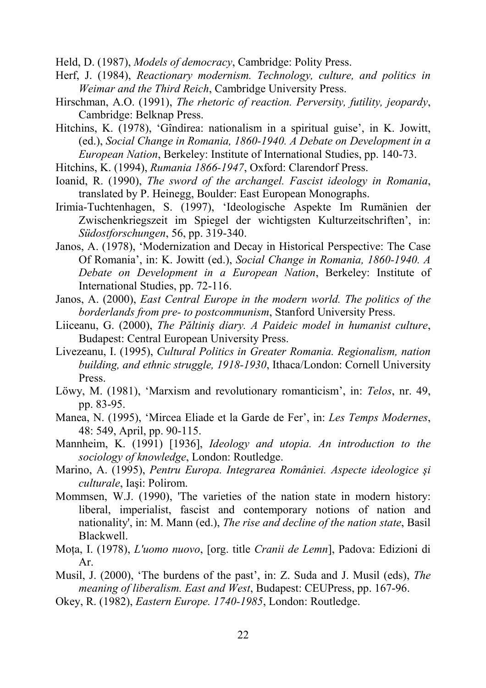Held, D. (1987), *Models of democracy*, Cambridge: Polity Press.

- Herf, J. (1984), *Reactionary modernism. Technology, culture, and politics in Weimar and the Third Reich*, Cambridge University Press.
- Hirschman, A.O. (1991), *The rhetoric of reaction. Perversity, futility, jeopardy*, Cambridge: Belknap Press.
- Hitchins, K. (1978), 'Gîndirea: nationalism in a spiritual guise', in K. Jowitt, (ed.), *Social Change in Romania, 1860-1940. A Debate on Development in a European Nation*, Berkeley: Institute of International Studies, pp. 140-73.
- Hitchins, K. (1994), *Rumania 1866-1947*, Oxford: Clarendorf Press.
- Ioanid, R. (1990), *The sword of the archangel. Fascist ideology in Romania*, translated by P. Heinegg, Boulder: East European Monographs.
- Irimia-Tuchtenhagen, S. (1997), 'Ideologische Aspekte Im Rumänien der Zwischenkriegszeit im Spiegel der wichtigsten Kulturzeitschriften<sup>'</sup>, in: *Südostforschungen*, 56, pp. 319-340.
- Janos, A. (1978), 'Modernization and Decay in Historical Perspective: The Case Of Romaniaí, in: K. Jowitt (ed.), *Social Change in Romania, 1860-1940. A Debate on Development in a European Nation*, Berkeley: Institute of International Studies, pp. 72-116.
- Janos, A. (2000), *East Central Europe in the modern world. The politics of the borderlands from pre- to postcommunism*, Stanford University Press.
- Liiceanu, G. (2000), *The Păltiniş diary. A Paideic model in humanist culture*, Budapest: Central European University Press.
- Livezeanu, I. (1995), *Cultural Politics in Greater Romania. Regionalism, nation building, and ethnic struggle, 1918-1930*, Ithaca/London: Cornell University Press.
- Löwy, M. (1981), 'Marxism and revolutionary romanticism', in: *Telos*, nr. 49, pp. 83-95.
- Manea, N. (1995), 'Mircea Eliade et la Garde de Fer', in: *Les Temps Modernes*, 48: 549, April, pp. 90-115.
- Mannheim, K. (1991) [1936], *Ideology and utopia. An introduction to the sociology of knowledge*, London: Routledge.
- Marino, A. (1995), *Pentru Europa. Integrarea Rom'niei. Aspecte ideologice şi culturale*, Iaşi: Polirom.
- Mommsen, W.J. (1990), 'The varieties of the nation state in modern history: liberal, imperialist, fascist and contemporary notions of nation and nationality', in: M. Mann (ed.), *The rise and decline of the nation state*, Basil Blackwell.
- Moţa, I. (1978), *L'uomo nuovo*, [org. title *Cranii de Lemn*], Padova: Edizioni di Ar.
- Musil, J. (2000), 'The burdens of the past', in: Z. Suda and J. Musil (eds), *The meaning of liberalism. East and West*, Budapest: CEUPress, pp. 167-96.
- Okey, R. (1982), *Eastern Europe. 1740-1985*, London: Routledge.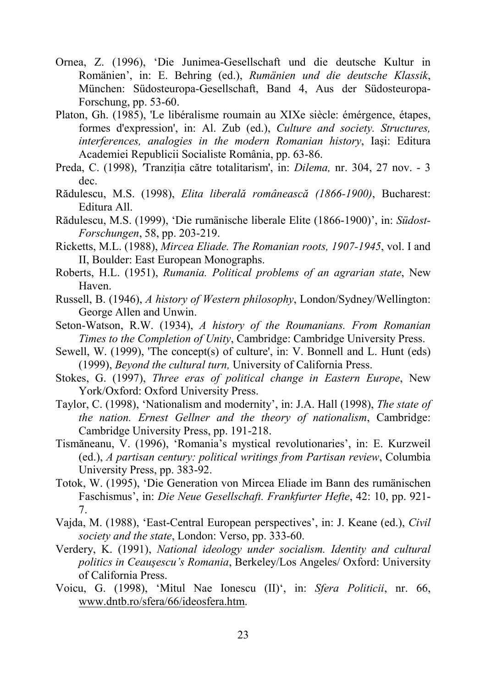- Ornea, Z. (1996), ëDie Junimea-Gesellschaft und die deutsche Kultur in Rom‰niení, in: E. Behring (ed.), *Rum‰nien und die deutsche Klassik*, München: Südosteuropa-Gesellschaft, Band 4, Aus der Südosteuropa-Forschung, pp. 53-60.
- Platon, Gh. (1985), 'Le libéralisme roumain au XIXe siècle: émérgence, étapes, formes d'expression', in: Al. Zub (ed.), *Culture and society. Structures, interferences, analogies in the modern Romanian history*, Iaşi: Editura Academiei Republicii Socialiste România, pp. 63-86.
- Preda, C. (1998), *'*Tranziţia către totalitarism', in: *Dilema,* nr. 304, 27 nov. 3 dec.
- Rădulescu, M.S. (1998), *Elita liberală rom'nească (1866-1900)*, Bucharest: Editura All.
- Rădulescu, M.S. (1999), 'Die rumänische liberale Elite (1866-1900)', in: *Südost*-*Forschungen*, 58, pp. 203-219.
- Ricketts, M.L. (1988), *Mircea Eliade. The Romanian roots, 1907-1945*, vol. I and II, Boulder: East European Monographs.
- Roberts, H.L. (1951), *Rumania. Political problems of an agrarian state*, New Haven.
- Russell, B. (1946), *A history of Western philosophy*, London/Sydney/Wellington: George Allen and Unwin.
- Seton-Watson, R.W. (1934), *A history of the Roumanians. From Romanian Times to the Completion of Unity*, Cambridge: Cambridge University Press.
- Sewell, W. (1999), 'The concept(s) of culture', in: V. Bonnell and L. Hunt (eds) (1999), *Beyond the cultural turn,* University of California Press.
- Stokes, G. (1997), *Three eras of political change in Eastern Europe*, New York/Oxford: Oxford University Press.
- Taylor, C. (1998), 'Nationalism and modernity', in: J.A. Hall (1998), *The state of the nation. Ernest Gellner and the theory of nationalism*, Cambridge: Cambridge University Press, pp. 191-218.
- Tismăneanu, V. (1996), 'Romania's mystical revolutionaries', in: E. Kurzweil (ed.), *A partisan century: political writings from Partisan review*, Columbia University Press, pp. 383-92.
- Totok, W. (1995), 'Die Generation von Mircea Eliade im Bann des rumänischen Faschismus', in: *Die Neue Gesellschaft. Frankfurter Hefte*, 42: 10, pp. 921-7.
- Vajda, M. (1988), 'East-Central European perspectives', in: J. Keane (ed.), *Civil society and the state*, London: Verso, pp. 333-60.
- Verdery, K. (1991), *National ideology under socialism. Identity and cultural politics in Ceauşescuís Romania*, Berkeley/Los Angeles/ Oxford: University of California Press.
- Voicu, G. (1998), ëMitul Nae Ionescu (II)ë, in: *Sfera Politicii*, nr. 66, [www.dntb.ro/sfera/66/ideosfera.htm.](http://www.dntb.ro/sfera/66/ideosfera.htm)